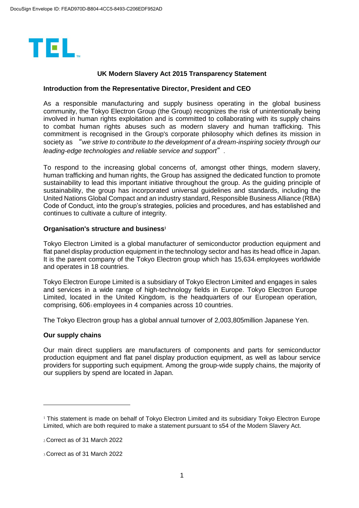

# **UK Modern Slavery Act 2015 Transparency Statement**

### **Introduction from the Representative Director, President and CEO**

As a responsible manufacturing and supply business operating in the global business community, the Tokyo Electron Group (the Group) recognizes the risk of unintentionally being involved in human rights exploitation and is committed to collaborating with its supply chains to combat human rights abuses such as modern slavery and human trafficking. This commitment is recognised in the Group's corporate philosophy which defines its mission in society as "*we strive to contribute to the development of a dream-inspiring society through our leading-edge technologies and reliable service and support*".

To respond to the increasing global concerns of, amongst other things, modern slavery, human trafficking and human rights, the Group has assigned the dedicated function to promote sustainability to lead this important initiative throughout the group. As the guiding principle of sustainability, the group has incorporated universal guidelines and standards, including the United Nations Global Compact and an industry standard, Responsible Business Alliance (RBA) Code of Conduct, into the group's strategies, policies and procedures, and has established and continues to cultivate a culture of integrity.

#### **Organisation's structure and business<sup>1</sup>**

Tokyo Electron Limited is a global manufacturer of semiconductor production equipment and flat panel display production equipment in the technology sector and has its head office in Japan. It is the parent company of the Tokyo Electron group which has  $15,634$ <sub>2</sub> employees worldwide and operates in 18 countries.

Tokyo Electron Europe Limited is a subsidiary of Tokyo Electron Limited and engages in sales and services in a wide range of high-technology fields in Europe. Tokyo Electron Europe Limited, located in the United Kingdom, is the headquarters of our European operation, comprising, 6063 employees in 4 companies across 10 countries.

The Tokyo Electron group has a global annual turnover of 2,003,805million Japanese Yen.

## **Our supply chains**

-

Our main direct suppliers are manufacturers of components and parts for semiconductor production equipment and flat panel display production equipment, as well as labour service providers for supporting such equipment. Among the group-wide supply chains, the majority of our suppliers by spend are located in Japan.

<sup>&</sup>lt;sup>1</sup> This statement is made on behalf of Tokyo Electron Limited and its subsidiary Tokyo Electron Europe Limited, which are both required to make a statement pursuant to s54 of the Modern Slavery Act.

<sup>2</sup>Correct as of 31 March 2022

<sup>3</sup>Correct as of 31 March 2022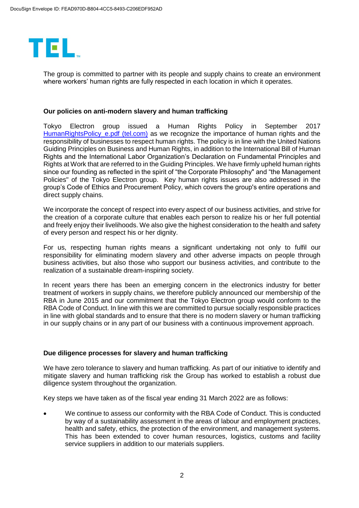

The group is committed to partner with its people and supply chains to create an environment where workers' human rights are fully respected in each location in which it operates.

### **Our policies on anti-modern slavery and human trafficking**

Tokyo Electron group issued a Human Rights Policy in September 2017 HumanRightsPolicy e.pdf (tel.com) as we recognize the importance of human rights and the responsibility of businesses to respect human rights. The policy is in line with the United Nations Guiding Principles on Business and Human Rights, in addition to the International Bill of Human Rights and the International Labor Organization's Declaration on Fundamental Principles and Rights at Work that are referred to in the Guiding Principles. We have firmly upheld human rights since our founding as reflected in the spirit of "the Corporate Philosophy" and "the Management Policies" of the Tokyo Electron group. Key human rights issues are also addressed in the group's Code of Ethics and Procurement Policy, which covers the group's entire operations and direct supply chains.

We incorporate the concept of respect into every aspect of our business activities, and strive for the creation of a corporate culture that enables each person to realize his or her full potential and freely enjoy their livelihoods. We also give the highest consideration to the health and safety of every person and respect his or her dignity.

For us, respecting human rights means a significant undertaking not only to fulfil our responsibility for eliminating modern slavery and other adverse impacts on people through business activities, but also those who support our business activities, and contribute to the realization of a sustainable dream-inspiring society.

In recent years there has been an emerging concern in the electronics industry for better treatment of workers in supply chains, we therefore publicly announced our membership of the RBA in June 2015 and our commitment that the Tokyo Electron group would conform to the RBA Code of Conduct. In line with this we are committed to pursue socially responsible practices in line with global standards and to ensure that there is no modern slavery or human trafficking in our supply chains or in any part of our business with a continuous improvement approach.

## **Due diligence processes for slavery and human trafficking**

We have zero tolerance to slavery and human trafficking. As part of our initiative to identify and mitigate slavery and human trafficking risk the Group has worked to establish a robust due diligence system throughout the organization.

Key steps we have taken as of the fiscal year ending 31 March 2022 are as follows:

 We continue to assess our conformity with the RBA Code of Conduct. This is conducted by way of a sustainability assessment in the areas of labour and employment practices, health and safety, ethics, the protection of the environment, and management systems. This has been extended to cover human resources, logistics, customs and facility service suppliers in addition to our materials suppliers.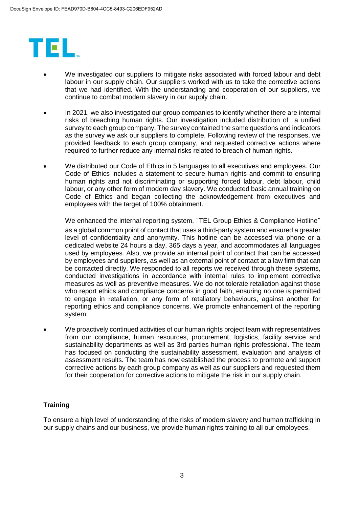

- We investigated our suppliers to mitigate risks associated with forced labour and debt labour in our supply chain. Our suppliers worked with us to take the corrective actions that we had identified. With the understanding and cooperation of our suppliers, we continue to combat modern slavery in our supply chain.
- In 2021, we also investigated our group companies to identify whether there are internal risks of breaching human rights. Our investigation included distribution of a unified survey to each group company. The survey contained the same questions and indicators as the survey we ask our suppliers to complete. Following review of the responses, we provided feedback to each group company, and requested corrective actions where required to further reduce any internal risks related to breach of human rights.
- We distributed our Code of Ethics in 5 languages to all executives and employees. Our Code of Ethics includes a statement to secure human rights and commit to ensuring human rights and not discriminating or supporting forced labour, debt labour, child labour, or any other form of modern day slavery. We conducted basic annual training on Code of Ethics and began collecting the acknowledgement from executives and employees with the target of 100% obtainment.

We enhanced the internal reporting system, "TEL Group Ethics & Compliance Hotline" as a global common point of contact that uses a third-party system and ensured a greater level of confidentiality and anonymity. This hotline can be accessed via phone or a dedicated website 24 hours a day, 365 days a year, and accommodates all languages used by employees. Also, we provide an internal point of contact that can be accessed by employees and suppliers, as well as an external point of contact at a law firm that can be contacted directly. We responded to all reports we received through these systems, conducted investigations in accordance with internal rules to implement corrective measures as well as preventive measures. We do not tolerate retaliation against those who report ethics and compliance concerns in good faith, ensuring no one is permitted to engage in retaliation, or any form of retaliatory behaviours, against another for reporting ethics and compliance concerns. We promote enhancement of the reporting system.

 We proactively continued activities of our human rights project team with representatives from our compliance, human resources, procurement, logistics, facility service and sustainability departments as well as 3rd parties human rights professional. The team has focused on conducting the sustainability assessment, evaluation and analysis of assessment results. The team has now established the process to promote and support corrective actions by each group company as well as our suppliers and requested them for their cooperation for corrective actions to mitigate the risk in our supply chain.

# **Training**

To ensure a high level of understanding of the risks of modern slavery and human trafficking in our supply chains and our business, we provide human rights training to all our employees.